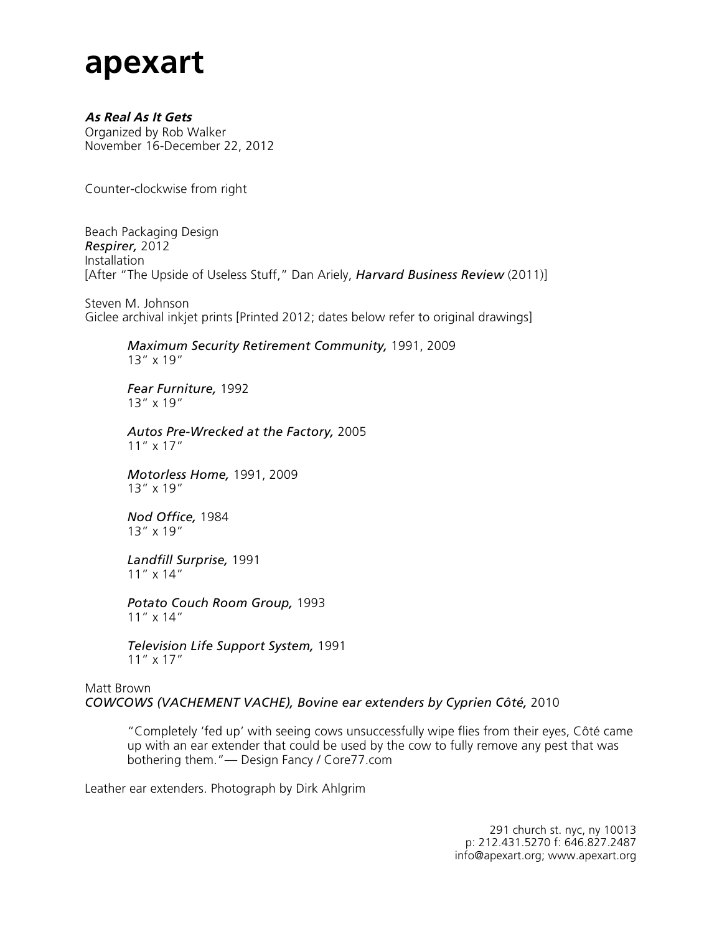## **apexart**

## **As Real As It Gets**

Organized by Rob Walker November 16-December 22, 2012

Counter-clockwise from right

Beach Packaging Design *Respirer,* 2012 Installation [After "The Upside of Useless Stuff," Dan Ariely, *Harvard Business Review* (2011)]

Steven M. Johnson Giclee archival inkjet prints [Printed 2012; dates below refer to original drawings]

### *Maximum Security Retirement Community,* 1991, 2009 13" x 19"

*Fear Furniture,* 1992 13" x 19"

*Autos Pre-Wrecked at the Factory,* 2005 11" x 17"

*Motorless Home,* 1991, 2009 13" x 19"

*Nod Office,* 1984 13" x 19"

*Landfill Surprise,* 1991 11" x 14"

*Potato Couch Room Group,* 1993 11" x 14"

*Television Life Support System,* 1991 11" x 17"

#### Matt Brown *COWCOWS (VACHEMENT VACHE), Bovine ear extenders by Cyprien Côté,* 2010

"Completely 'fed up' with seeing cows unsuccessfully wipe flies from their eyes, Côté came up with an ear extender that could be used by the cow to fully remove any pest that was bothering them."— Design Fancy / Core77.com

Leather ear extenders. Photograph by Dirk Ahlgrim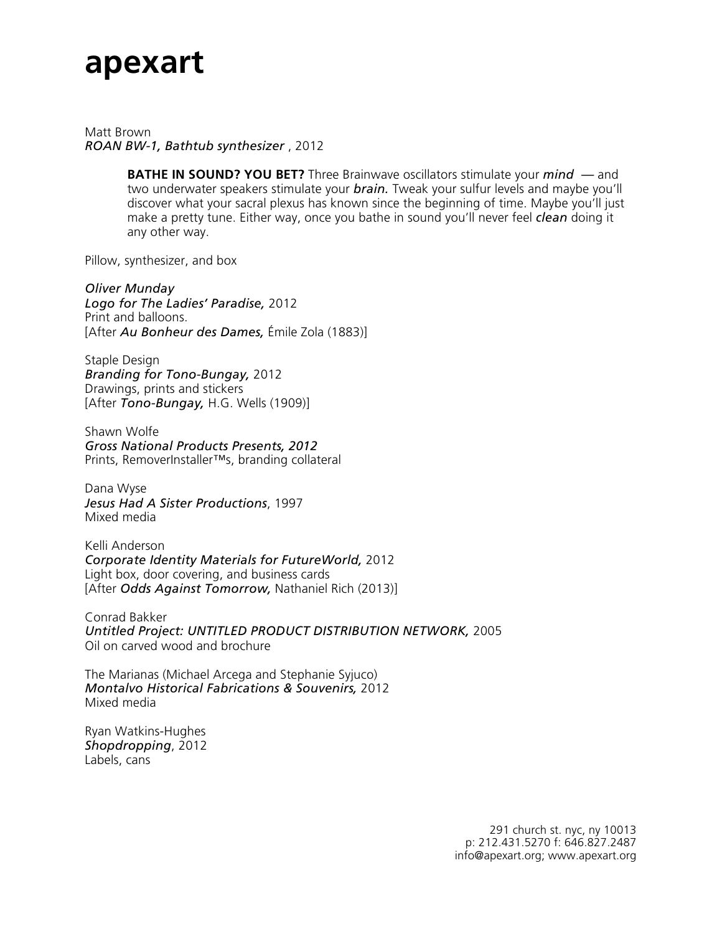## **apexart**

Matt Brown *ROAN BW-1, Bathtub synthesizer* , 2012

> **BATHE IN SOUND? YOU BET?** Three Brainwave oscillators stimulate your *mind —* and two underwater speakers stimulate your *brain.* Tweak your sulfur levels and maybe you'll discover what your sacral plexus has known since the beginning of time. Maybe you'll just make a pretty tune. Either way, once you bathe in sound you'll never feel *clean* doing it any other way.

Pillow, synthesizer, and box

*Oliver Munday Logo for The Ladies' Paradise,* 2012 Print and balloons. [After *Au Bonheur des Dames,* Émile Zola (1883)]

Staple Design *Branding for Tono-Bungay,* 2012 Drawings, prints and stickers [After *Tono-Bungay,* H.G. Wells (1909)]

Shawn Wolfe *Gross National Products Presents, 2012* Prints, RemoverInstaller™s, branding collateral

Dana Wyse *Jesus Had A Sister Productions*, 1997 Mixed media

Kelli Anderson *Corporate Identity Materials for FutureWorld,* 2012 Light box, door covering, and business cards [After *Odds Against Tomorrow,* Nathaniel Rich (2013)]

Conrad Bakker *Untitled Project: UNTITLED PRODUCT DISTRIBUTION NETWORK,* 2005 Oil on carved wood and brochure

The Marianas (Michael Arcega and Stephanie Syjuco) *Montalvo Historical Fabrications & Souvenirs,* 2012 Mixed media

Ryan Watkins-Hughes *Shopdropping*, 2012 Labels, cans

> 291 church st. nyc, ny 10013 p: 212.431.5270 f: 646.827.2487 info@apexart.org; www.apexart.org